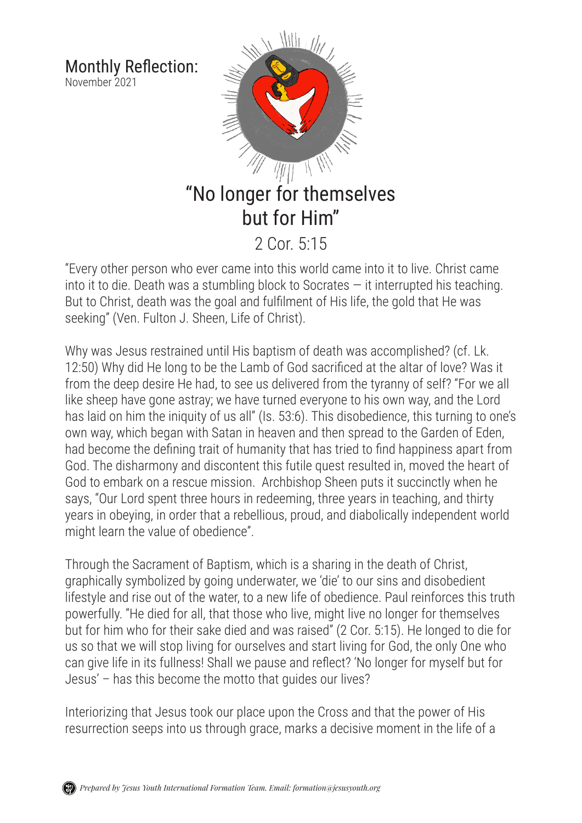Monthly Reflection: November 2021



"Every other person who ever came into this world came into it to live. Christ came into it to die. Death was a stumbling block to Socrates  $-$  it interrupted his teaching. But to Christ, death was the goal and fulfilment of His life, the gold that He was seeking" (Ven. Fulton J. Sheen, Life of Christ).

Why was Jesus restrained until His baptism of death was accomplished? (cf. Lk. 12:50) Why did He long to be the Lamb of God sacrificed at the altar of love? Was it from the deep desire He had, to see us delivered from the tyranny of self? "For we all like sheep have gone astray; we have turned everyone to his own way, and the Lord has laid on him the iniquity of us all" (Is. 53:6). This disobedience, this turning to one's own way, which began with Satan in heaven and then spread to the Garden of Eden, had become the defining trait of humanity that has tried to find happiness apart from God. The disharmony and discontent this futile quest resulted in, moved the heart of God to embark on a rescue mission. Archbishop Sheen puts it succinctly when he says, "Our Lord spent three hours in redeeming, three years in teaching, and thirty years in obeying, in order that a rebellious, proud, and diabolically independent world might learn the value of obedience".

Through the Sacrament of Baptism, which is a sharing in the death of Christ, graphically symbolized by going underwater, we 'die' to our sins and disobedient lifestyle and rise out of the water, to a new life of obedience. Paul reinforces this truth powerfully. "He died for all, that those who live, might live no longer for themselves but for him who for their sake died and was raised" (2 Cor. 5:15). He longed to die for us so that we will stop living for ourselves and start living for God, the only One who can give life in its fullness! Shall we pause and reflect? 'No longer for myself but for Jesus' – has this become the motto that guides our lives?

Interiorizing that Jesus took our place upon the Cross and that the power of His resurrection seeps into us through grace, marks a decisive moment in the life of a